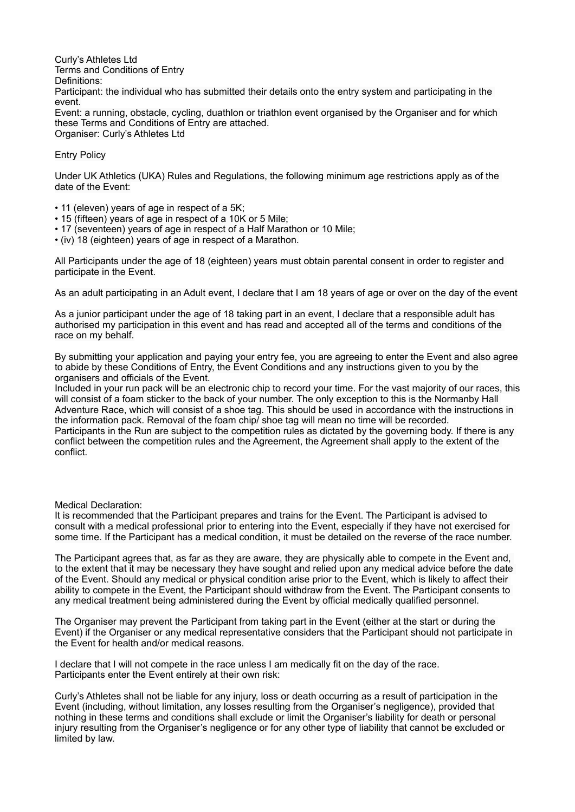Curly's Athletes Ltd Terms and Conditions of Entry Definitions: Participant: the individual who has submitted their details onto the entry system and participating in the event. Event: a running, obstacle, cycling, duathlon or triathlon event organised by the Organiser and for which

these Terms and Conditions of Entry are attached. Organiser: Curly's Athletes Ltd

# Entry Policy

Under UK Athletics (UKA) Rules and Regulations, the following minimum age restrictions apply as of the date of the Event:

- 11 (eleven) years of age in respect of a 5K;
- 15 (fifteen) years of age in respect of a 10K or 5 Mile;
- 17 (seventeen) years of age in respect of a Half Marathon or 10 Mile;
- (iv) 18 (eighteen) years of age in respect of a Marathon.

All Participants under the age of 18 (eighteen) years must obtain parental consent in order to register and participate in the Event.

As an adult participating in an Adult event, I declare that I am 18 years of age or over on the day of the event

As a junior participant under the age of 18 taking part in an event, I declare that a responsible adult has authorised my participation in this event and has read and accepted all of the terms and conditions of the race on my behalf.

By submitting your application and paying your entry fee, you are agreeing to enter the Event and also agree to abide by these Conditions of Entry, the Event Conditions and any instructions given to you by the organisers and officials of the Event.

Included in your run pack will be an electronic chip to record your time. For the vast majority of our races, this will consist of a foam sticker to the back of your number. The only exception to this is the Normanby Hall Adventure Race, which will consist of a shoe tag. This should be used in accordance with the instructions in the information pack. Removal of the foam chip/ shoe tag will mean no time will be recorded. Participants in the Run are subject to the competition rules as dictated by the governing body. If there is any

conflict between the competition rules and the Agreement, the Agreement shall apply to the extent of the conflict.

Medical Declaration:

It is recommended that the Participant prepares and trains for the Event. The Participant is advised to consult with a medical professional prior to entering into the Event, especially if they have not exercised for some time. If the Participant has a medical condition, it must be detailed on the reverse of the race number.

The Participant agrees that, as far as they are aware, they are physically able to compete in the Event and, to the extent that it may be necessary they have sought and relied upon any medical advice before the date of the Event. Should any medical or physical condition arise prior to the Event, which is likely to affect their ability to compete in the Event, the Participant should withdraw from the Event. The Participant consents to any medical treatment being administered during the Event by official medically qualified personnel.

The Organiser may prevent the Participant from taking part in the Event (either at the start or during the Event) if the Organiser or any medical representative considers that the Participant should not participate in the Event for health and/or medical reasons.

I declare that I will not compete in the race unless I am medically fit on the day of the race. Participants enter the Event entirely at their own risk:

Curly's Athletes shall not be liable for any injury, loss or death occurring as a result of participation in the Event (including, without limitation, any losses resulting from the Organiser's negligence), provided that nothing in these terms and conditions shall exclude or limit the Organiser's liability for death or personal injury resulting from the Organiser's negligence or for any other type of liability that cannot be excluded or limited by law.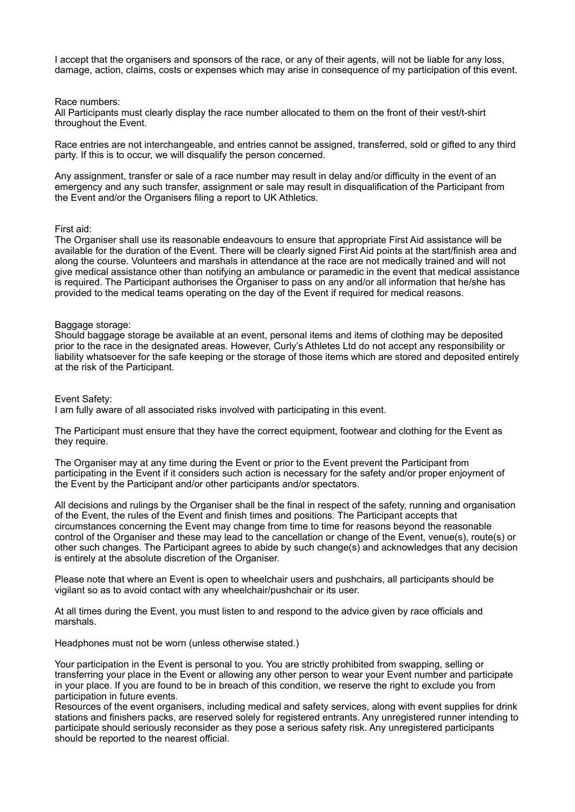I accept that the organisers and sponsors of the race, or any of their agents, will not be liable for any loss, damage, action, claims, costs or expenses which may arise in consequence of my participation of this event.

### Race numbers:

All Participants must clearly display the race number allocated to them on the front of their vest/t-shirt throughout the Event.

Race entries are not interchangeable, and entries cannot be assigned, transferred, sold or gifted to any third party. If this is to occur, we will disqualify the person concerned.

Any assignment, transfer or sale of a race number may result in delay and/or difficulty in the event of an emergency and any such transfer, assignment or sale may result in disqualification of the Participant from the Event and/or the Organisers filing a report to UK Athletics.

# First aid:

The Organiser shall use its reasonable endeavours to ensure that appropriate First Aid assistance will be available for the duration of the Event. There will be clearly signed First Aid points at the start/finish area and along the course. Volunteers and marshals in attendance at the race are not medically trained and will not give medical assistance other than notifying an ambulance or paramedic in the event that medical assistance is required. The Participant authorises the Organiser to pass on any and/or all information that he/she has provided to the medical teams operating on the day of the Event if required for medical reasons.

# Baggage storage:

Should baggage storage be available at an event, personal items and items of clothing may be deposited prior to the race in the designated areas. However, Curly's Athletes Ltd do not accept any responsibility or liability whatsoever for the safe keeping or the storage of those items which are stored and deposited entirely at the risk of the Participant.

# Event Safety:

I am fully aware of all associated risks involved with participating in this event.

The Participant must ensure that they have the correct equipment, footwear and clothing for the Event as they require.

The Organiser may at any time during the Event or prior to the Event prevent the Participant from participating in the Event if it considers such action is necessary for the safety and/or proper enjoyment of the Event by the Participant and/or other participants and/or spectators.

All decisions and rulings by the Organiser shall be the final in respect of the safety, running and organisation of the Event, the rules of the Event and finish times and positions. The Participant accepts that circumstances concerning the Event may change from time to time for reasons beyond the reasonable control of the Organiser and these may lead to the cancellation or change of the Event, venue(s), route(s) or other such changes. The Participant agrees to abide by such change(s) and acknowledges that any decision is entirely at the absolute discretion of the Organiser.

Please note that where an Event is open to wheelchair users and pushchairs, all participants should be vigilant so as to avoid contact with any wheelchair/pushchair or its user.

At all times during the Event, you must listen to and respond to the advice given by race officials and marshals.

Headphones must not be worn (unless otherwise stated.)

Your participation in the Event is personal to you. You are strictly prohibited from swapping, selling or transferring your place in the Event or allowing any other person to wear your Event number and participate in your place. If you are found to be in breach of this condition, we reserve the right to exclude you from participation in future events.

Resources of the event organisers, including medical and safety services, along with event supplies for drink stations and finishers packs, are reserved solely for registered entrants. Any unregistered runner intending to participate should seriously reconsider as they pose a serious safety risk. Any unregistered participants should be reported to the nearest official.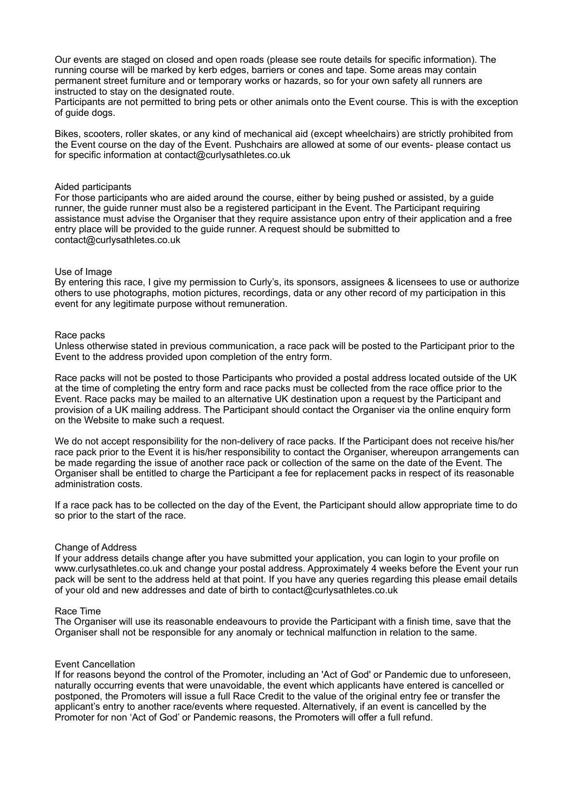Our events are staged on closed and open roads (please see route details for specific information). The running course will be marked by kerb edges, barriers or cones and tape. Some areas may contain permanent street furniture and or temporary works or hazards, so for your own safety all runners are instructed to stay on the designated route.

Participants are not permitted to bring pets or other animals onto the Event course. This is with the exception of guide dogs.

Bikes, scooters, roller skates, or any kind of mechanical aid (except wheelchairs) are strictly prohibited from the Event course on the day of the Event. Pushchairs are allowed at some of our events- please contact us for specific information at contact@curlysathletes.co.uk

### Aided participants

For those participants who are aided around the course, either by being pushed or assisted, by a guide runner, the guide runner must also be a registered participant in the Event. The Participant requiring assistance must advise the Organiser that they require assistance upon entry of their application and a free entry place will be provided to the guide runner. A request should be submitted to contact@curlysathletes.co.uk

### Use of Image

By entering this race, I give my permission to Curly's, its sponsors, assignees & licensees to use or authorize others to use photographs, motion pictures, recordings, data or any other record of my participation in this event for any legitimate purpose without remuneration.

#### Race packs

Unless otherwise stated in previous communication, a race pack will be posted to the Participant prior to the Event to the address provided upon completion of the entry form.

Race packs will not be posted to those Participants who provided a postal address located outside of the UK at the time of completing the entry form and race packs must be collected from the race office prior to the Event. Race packs may be mailed to an alternative UK destination upon a request by the Participant and provision of a UK mailing address. The Participant should contact the Organiser via the online enquiry form on the Website to make such a request.

We do not accept responsibility for the non-delivery of race packs. If the Participant does not receive his/her race pack prior to the Event it is his/her responsibility to contact the Organiser, whereupon arrangements can be made regarding the issue of another race pack or collection of the same on the date of the Event. The Organiser shall be entitled to charge the Participant a fee for replacement packs in respect of its reasonable administration costs.

If a race pack has to be collected on the day of the Event, the Participant should allow appropriate time to do so prior to the start of the race.

#### Change of Address

If your address details change after you have submitted your application, you can login to your profile on www.curlysathletes.co.uk and change your postal address. Approximately 4 weeks before the Event your run pack will be sent to the address held at that point. If you have any queries regarding this please email details of your old and new addresses and date of birth to contact@curlysathletes.co.uk

#### Race Time

The Organiser will use its reasonable endeavours to provide the Participant with a finish time, save that the Organiser shall not be responsible for any anomaly or technical malfunction in relation to the same.

### Event Cancellation

If for reasons beyond the control of the Promoter, including an 'Act of God' or Pandemic due to unforeseen, naturally occurring events that were unavoidable, the event which applicants have entered is cancelled or postponed, the Promoters will issue a full Race Credit to the value of the original entry fee or transfer the applicant's entry to another race/events where requested. Alternatively, if an event is cancelled by the Promoter for non 'Act of God' or Pandemic reasons, the Promoters will offer a full refund.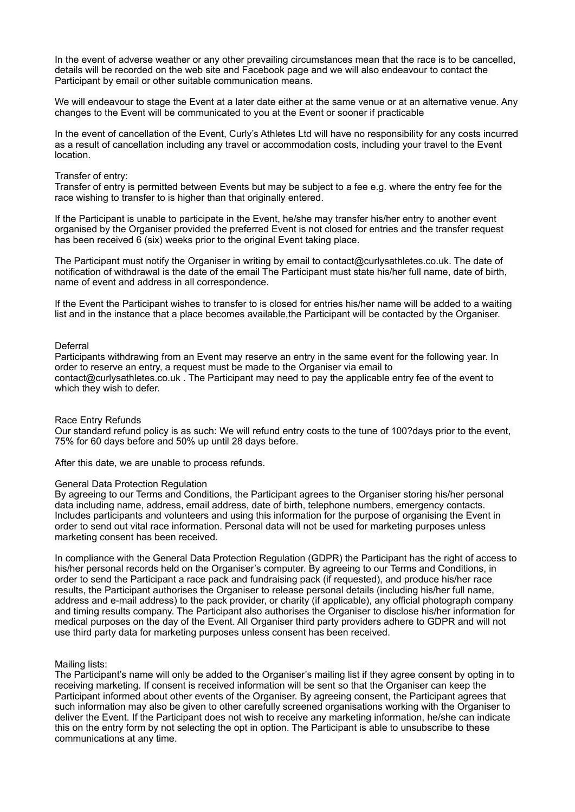In the event of adverse weather or any other prevailing circumstances mean that the race is to be cancelled, details will be recorded on the web site and Facebook page and we will also endeavour to contact the Participant by email or other suitable communication means.

We will endeavour to stage the Event at a later date either at the same venue or at an alternative venue. Any changes to the Event will be communicated to you at the Event or sooner if practicable

In the event of cancellation of the Event, Curly's Athletes Ltd will have no responsibility for any costs incurred as a result of cancellation including any travel or accommodation costs, including your travel to the Event location.

### Transfer of entry:

Transfer of entry is permitted between Events but may be subject to a fee e.g. where the entry fee for the race wishing to transfer to is higher than that originally entered.

If the Participant is unable to participate in the Event, he/she may transfer his/her entry to another event organised by the Organiser provided the preferred Event is not closed for entries and the transfer request has been received 6 (six) weeks prior to the original Event taking place.

The Participant must notify the Organiser in writing by email to contact@curlysathletes.co.uk. The date of notification of withdrawal is the date of the email The Participant must state his/her full name, date of birth, name of event and address in all correspondence.

If the Event the Participant wishes to transfer to is closed for entries his/her name will be added to a waiting list and in the instance that a place becomes available,the Participant will be contacted by the Organiser.

### Deferral

Participants withdrawing from an Event may reserve an entry in the same event for the following year. In order to reserve an entry, a request must be made to the Organiser via email to contact@curlysathletes.co.uk . The Participant may need to pay the applicable entry fee of the event to which they wish to defer.

# Race Entry Refunds

Our standard refund policy is as such: We will refund entry costs to the tune of 100?days prior to the event, 75% for 60 days before and 50% up until 28 days before.

After this date, we are unable to process refunds.

#### General Data Protection Regulation

By agreeing to our Terms and Conditions, the Participant agrees to the Organiser storing his/her personal data including name, address, email address, date of birth, telephone numbers, emergency contacts. Includes participants and volunteers and using this information for the purpose of organising the Event in order to send out vital race information. Personal data will not be used for marketing purposes unless marketing consent has been received.

In compliance with the General Data Protection Regulation (GDPR) the Participant has the right of access to his/her personal records held on the Organiser's computer. By agreeing to our Terms and Conditions, in order to send the Participant a race pack and fundraising pack (if requested), and produce his/her race results, the Participant authorises the Organiser to release personal details (including his/her full name, address and e-mail address) to the pack provider, or charity (if applicable), any official photograph company and timing results company. The Participant also authorises the Organiser to disclose his/her information for medical purposes on the day of the Event. All Organiser third party providers adhere to GDPR and will not use third party data for marketing purposes unless consent has been received.

# Mailing lists:

The Participant's name will only be added to the Organiser's mailing list if they agree consent by opting in to receiving marketing. If consent is received information will be sent so that the Organiser can keep the Participant informed about other events of the Organiser. By agreeing consent, the Participant agrees that such information may also be given to other carefully screened organisations working with the Organiser to deliver the Event. If the Participant does not wish to receive any marketing information, he/she can indicate this on the entry form by not selecting the opt in option. The Participant is able to unsubscribe to these communications at any time.